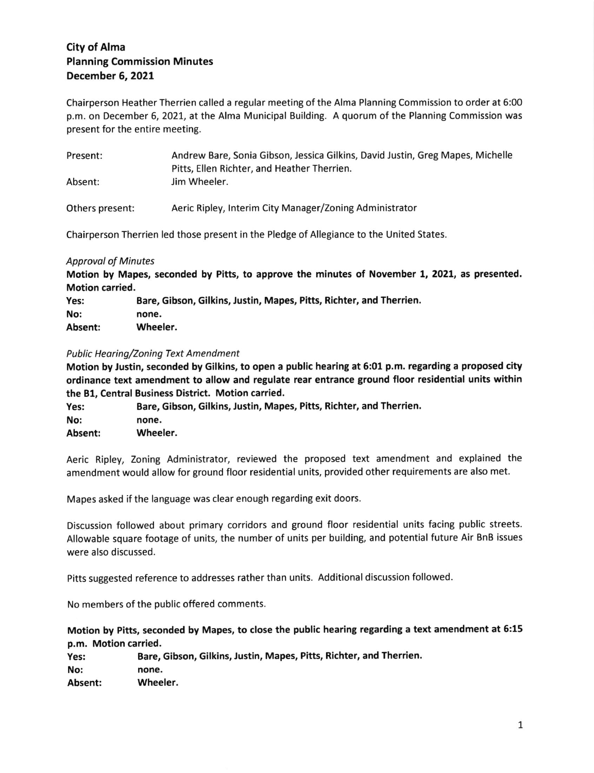# City of Alma Planning Commission Minutes December 6, 2021

Chairperson Heather Therrien called a regular meeting of the Alma Planning Commission to order at 5:00 p.m. on December 6, 2027, at the Alma Municipal Building. A quorum of the Planning Commission was present for the entire meeting.

| Present:        | Andrew Bare, Sonia Gibson, Jessica Gilkins, David Justin, Greg Mapes, Michelle<br>Pitts, Ellen Richter, and Heather Therrien. |
|-----------------|-------------------------------------------------------------------------------------------------------------------------------|
| Absent:         | Jim Wheeler.                                                                                                                  |
| Others present: | Aeric Ripley, Interim City Manager/Zoning Administrator                                                                       |

Chairperson Therrien led those present in the Pledge of Allegiance to the United States.

# **Approval of Minutes**

Motion by Mapes, seconded by Pitts, to approve the minutes of November L,2021, as presented. Motion carried.

| Yes:    | Bare, Gibson, Gilkins, Justin, Mapes, Pitts, Richter, and Therrien. |
|---------|---------------------------------------------------------------------|
| No:     | none.                                                               |
| Absent: | Wheeler.                                                            |

# Public Hearing/Zoning Text Amendment

Motion by Justin, seconded by Gilkins, to open a public hearing at 5:01 p.m. regarding a proposed city ordinance text amendment to allow and regulate rear entrance ground floor residential units within the B1, Central Business District. Motion carried.

| Yes:    | Bare, Gibson, Gilkins, Justin, Mapes, Pitts, Richter, and Therrien. |
|---------|---------------------------------------------------------------------|
|         |                                                                     |
| No:     | none.                                                               |
| Absent: | Wheeler.                                                            |

Aeric Ripley, Zoning Administrator, reviewed the proposed text amendment and explained the amendment would allow for ground floor residential units, provided other requirements are also met.

Mapes asked if the language was clear enough regarding exit doors

Discussion followed about primary corridors and ground floor residential units facing public streets. Allowable square footage of units, the number of units per building, and potential future Air BnB issues were also discussed.

Pitts suggested reference to addresses rather than units. Additional discussion followed.

No members of the public offered comments.

Motion by Pifts, seconded by Mapes, to close the public hearing regarding a text amendment at 6:15 p.m. Motion carried.

Yes: Bare, Gibson, Gilkins, Justin, Mapes, Pitts, Richter, and Therrien. No: none. Absent: Wheeler.